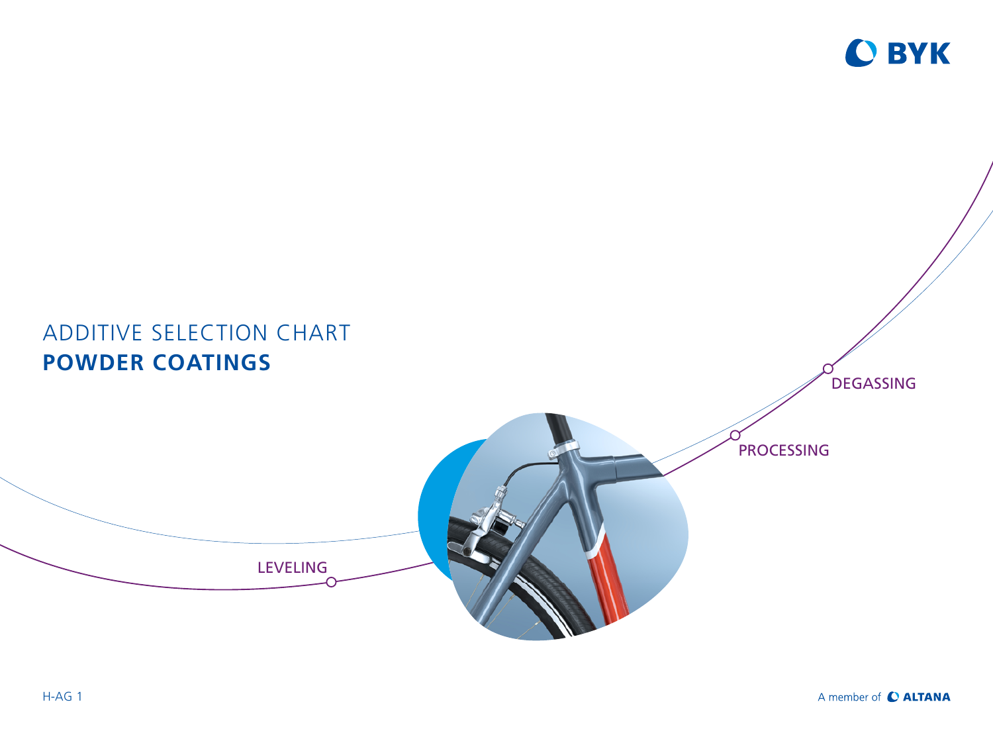

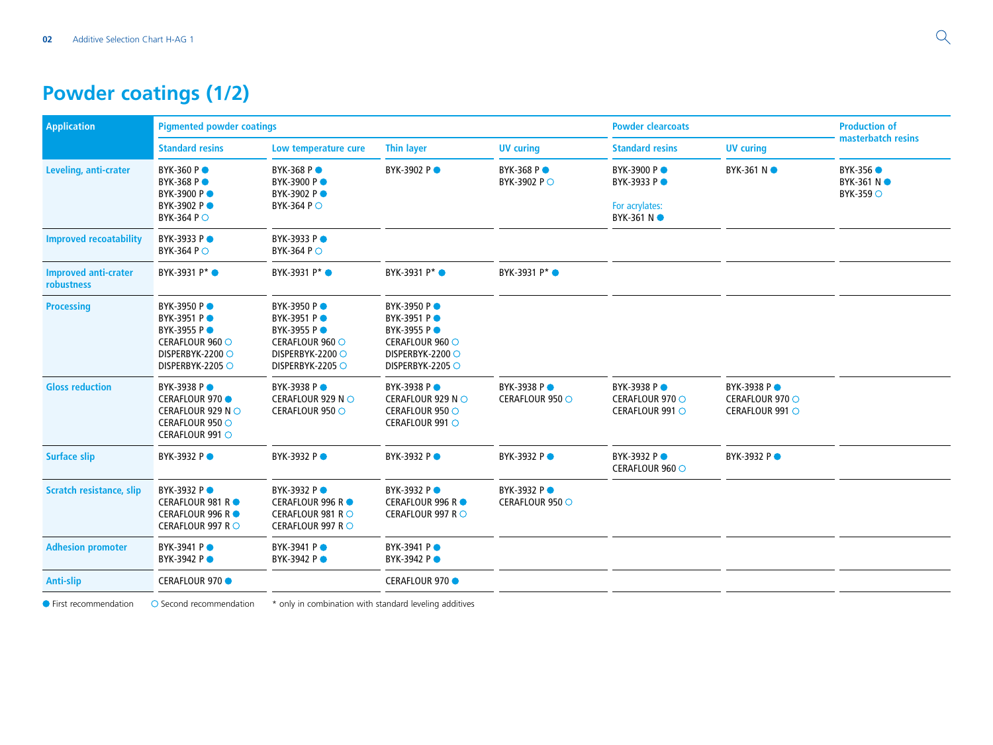## **Powder coatings (1/2)**

| <b>Application</b>                        | <b>Pigmented powder coatings</b>                                                                            |                                                                                                             |                                                                                                                    | <b>Powder clearcoats</b>       |                                                                    | <b>Production of</b>                              |                                              |
|-------------------------------------------|-------------------------------------------------------------------------------------------------------------|-------------------------------------------------------------------------------------------------------------|--------------------------------------------------------------------------------------------------------------------|--------------------------------|--------------------------------------------------------------------|---------------------------------------------------|----------------------------------------------|
|                                           | <b>Standard resins</b>                                                                                      | Low temperature cure                                                                                        | <b>Thin layer</b>                                                                                                  | <b>UV curing</b>               | <b>Standard resins</b>                                             | <b>UV</b> curing                                  | masterbatch resins                           |
| Leveling, anti-crater                     | <b>BYK-360 PO</b><br>BYK-368 PO<br><b>BYK-3900 P●</b><br>BYK-3902 P ●<br><b>BYK-364 PO</b>                  | BYK-368 PO<br>BYK-3900 PO<br>BYK-3902 P●<br>BYK-364 P O                                                     | BYK-3902 PO                                                                                                        | BYK-368 PO<br>BYK-3902 P ○     | BYK-3900 PO<br>BYK-3933 PO<br>For acrylates:<br><b>BYK-361 N</b> ● | BYK-361 N ●                                       | BYK-356 ●<br>BYK-361 N ●<br><b>BYK-359 ○</b> |
| <b>Improved recoatability</b>             | BYK-3933 PO<br><b>BYK-364 P</b> ○                                                                           | BYK-3933 PO<br>BYK-364 P O                                                                                  |                                                                                                                    |                                |                                                                    |                                                   |                                              |
| <b>Improved anti-crater</b><br>robustness | BYK-3931 P* ·                                                                                               | BYK-3931 P <sup>*</sup> ●                                                                                   | BYK-3931 P <sup>*</sup> ●                                                                                          | BYK-3931 P* ·                  |                                                                    |                                                   |                                              |
| <b>Processing</b>                         | <b>BYK-3950 P●</b><br>BYK-3951 PO<br>BYK-3955 PO<br>CERAFLOUR 960 O<br>DISPERBYK-2200 ○<br>DISPERBYK-2205 O | BYK-3950 PO<br>BYK-3951 PO<br><b>BYK-3955 P●</b><br>CERAFLOUR 960 O<br>DISPERBYK-2200 O<br>DISPERBYK-2205 O | <b>BYK-3950 P●</b><br>BYK-3951 PO<br><b>BYK-3955 P●</b><br>CERAFLOUR 960 ○<br>DISPERBYK-2200 ○<br>DISPERBYK-2205 O |                                |                                                                    |                                                   |                                              |
| <b>Gloss reduction</b>                    | <b>BYK-3938 P●</b><br>CERAFLOUR 970 ●<br>CERAFLOUR 929 NO<br>CERAFLOUR 950 ○<br>CERAFLOUR 991 O             | BYK-3938 PO<br>CERAFLOUR 929 N ○<br>CERAFLOUR 950 ○                                                         | <b>BYK-3938 P●</b><br>CERAFLOUR 929 N ○<br>CERAFLOUR 950 O<br>CERAFLOUR 991 O                                      | BYK-3938 PO<br>CERAFLOUR 950 ○ | <b>BYK-3938 P●</b><br>CERAFLOUR 970 ○<br>CERAFLOUR 991 O           | BYK-3938 PO<br>CERAFLOUR 970 ○<br>CERAFLOUR 991 O |                                              |
| <b>Surface slip</b>                       | BYK-3932 PO                                                                                                 | BYK-3932 PO                                                                                                 | <b>BYK-3932 P●</b>                                                                                                 | <b>BYK-3932 P●</b>             | BYK-3932 PO<br>CERAFLOUR 960 ○                                     | BYK-3932 P●                                       |                                              |
| <b>Scratch resistance, slip</b>           | BYK-3932 PO<br>CERAFLOUR 981 R ●<br>CERAFLOUR 996 R ●<br>CERAFLOUR 997 R ○                                  | BYK-3932 PO<br><b>CERAFLOUR 996 RO</b><br>CERAFLOUR 981 R ○<br>CERAFLOUR 997 R ○                            | BYK-3932 PO<br><b>CERAFLOUR 996 RO</b><br>CERAFLOUR 997 R ○                                                        | BYK-3932 PO<br>CERAFLOUR 950 O |                                                                    |                                                   |                                              |
| <b>Adhesion promoter</b>                  | BYK-3941 PO<br>BYK-3942 PO                                                                                  | BYK-3941 PO<br>BYK-3942 PO                                                                                  | <b>BYK-3941 P●</b><br><b>BYK-3942 P●</b>                                                                           |                                |                                                                    |                                                   |                                              |
| Anti-slip                                 | CERAFLOUR 970 ●                                                                                             |                                                                                                             | CERAFLOUR 970 ●                                                                                                    |                                |                                                                    |                                                   |                                              |

 $\bullet$  First recommendation  $\circ$  Second recommendation  $*$  only in combination with standard leveling additives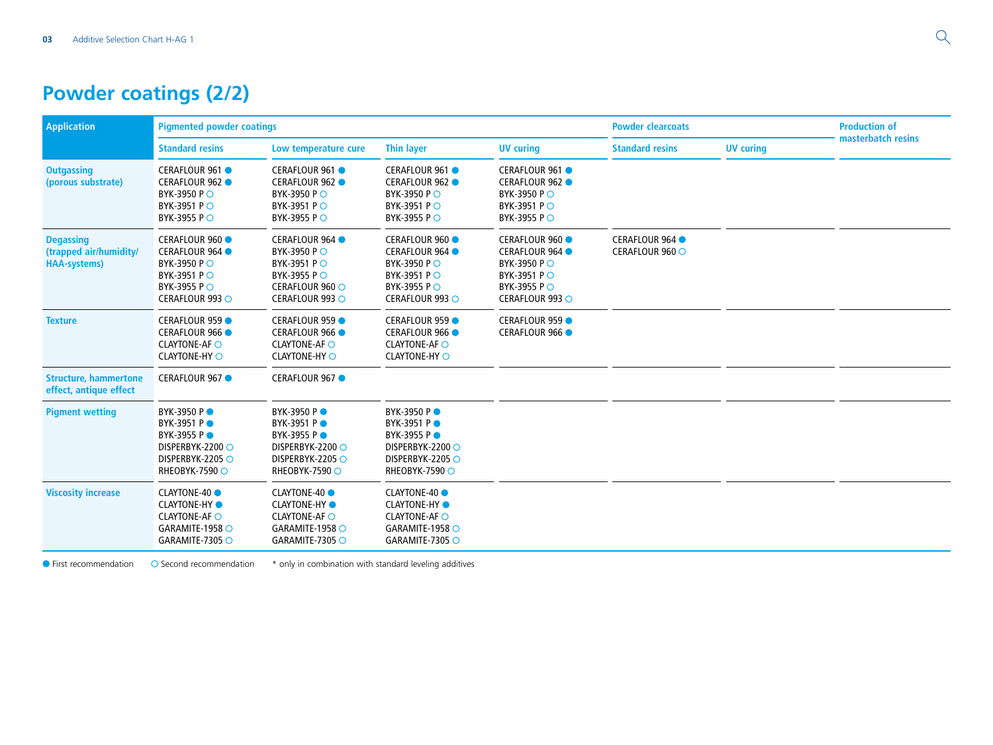## **Powder coatings (2/2)**

| <b>Application</b>                                                 | <b>Pigmented powder coatings</b>                                                                                    |                                                                                                                            |                                                                                                                          | <b>Powder clearcoats</b>                                                                                                          |                                    | <b>Production of</b> |                    |
|--------------------------------------------------------------------|---------------------------------------------------------------------------------------------------------------------|----------------------------------------------------------------------------------------------------------------------------|--------------------------------------------------------------------------------------------------------------------------|-----------------------------------------------------------------------------------------------------------------------------------|------------------------------------|----------------------|--------------------|
|                                                                    | <b>Standard resins</b>                                                                                              | Low temperature cure                                                                                                       | <b>Thin layer</b>                                                                                                        | <b>UV</b> curing                                                                                                                  | <b>Standard resins</b>             | <b>UV</b> curing     | masterbatch resins |
| <b>Outgassing</b><br>(porous substrate)                            | CERAFLOUR 961 ●<br>CERAFLOUR 962 ●<br><b>BYK-3950 P</b> ○<br>BYK-3951 PO<br>BYK-3955 P ○                            | CERAFLOUR 961 ●<br>CERAFLOUR 962 ●<br><b>BYK-3950 P</b> ○<br><b>BYK-3951 P○</b><br><b>BYK-3955 P ○</b>                     | CERAFLOUR 961 ●<br>CERAFLOUR 962 ●<br><b>BYK-3950 P ○</b><br>BYK-3951 PO<br><b>BYK-3955 P ○</b>                          | CERAFLOUR 961 ●<br>CERAFLOUR 962 ●<br><b>BYK-3950 P ○</b><br><b>BYK-3951 P</b> ○<br><b>BYK-3955 P ○</b>                           |                                    |                      |                    |
| <b>Degassing</b><br>(trapped air/humidity/<br><b>HAA-systems</b> ) | CERAFLOUR 960 ●<br>CERAFLOUR 964 ●<br><b>BYK-3950 P</b> ○<br>BYK-3951 P ○<br><b>BYK-3955 P ○</b><br>CERAFLOUR 993 O | <b>CERAFLOUR 964 ·</b><br><b>BYK-3950 P</b> ○<br>BYK-3951 P ○<br><b>BYK-3955 P</b> ○<br>CERAFLOUR 960 ○<br>CERAFLOUR 993 O | <b>CERAFLOUR 960 ·</b><br>CERAFLOUR 964 ●<br><b>BYK-3950 P○</b><br><b>BYK-3951 P○</b><br>BYK-3955 P ○<br>CERAFLOUR 993 O | <b>CERAFLOUR 960 ·</b><br><b>CERAFLOUR 964 ·</b><br><b>BYK-3950 P ○</b><br>BYK-3951 P ○<br><b>BYK-3955 P ○</b><br>CERAFLOUR 993 O | CERAFLOUR 964 ●<br>CERAFLOUR 960 O |                      |                    |
| <b>Texture</b>                                                     | CERAFLOUR 959 ●<br>CERAFLOUR 966 ●<br><b>CLAYTONE-AF O</b><br><b>CLAYTONE-HY O</b>                                  | CERAFLOUR 959 ●<br>CERAFLOUR 966 ●<br><b>CLAYTONE-AF O</b><br><b>CLAYTONE-HY O</b>                                         | <b>CERAFLOUR 959</b><br><b>CERAFLOUR 966 ·</b><br><b>CLAYTONE-AF O</b><br><b>CLAYTONE-HY O</b>                           | CERAFLOUR 959 ●<br>CERAFLOUR 966 ●                                                                                                |                                    |                      |                    |
| <b>Structure, hammertone</b><br>effect, antique effect             | CERAFLOUR 967 ●                                                                                                     | CERAFLOUR 967 ●                                                                                                            |                                                                                                                          |                                                                                                                                   |                                    |                      |                    |
| <b>Pigment wetting</b>                                             | BYK-3950 PO<br>BYK-3951 PO<br>BYK-3955 PO<br>DISPERBYK-2200 ○<br>DISPERBYK-2205 O<br>RHEOBYK-7590 ○                 | BYK-3950 PO<br>BYK-3951 PO<br><b>BYK-3955 P●</b><br>DISPERBYK-2200 ○<br>DISPERBYK-2205 O<br>RHEOBYK-7590 ○                 | BYK-3950 PO<br>BYK-3951 PO<br>BYK-3955 PO<br>DISPERBYK-2200 ○<br>DISPERBYK-2205 O<br>RHEOBYK-7590 ○                      |                                                                                                                                   |                                    |                      |                    |
| <b>Viscosity increase</b>                                          | <b>CLAYTONE-40 ●</b><br><b>CLAYTONE-HY</b><br><b>CLAYTONE-AF O</b><br>GARAMITE-1958 O<br>GARAMITE-7305 $\circ$      | <b>CLAYTONE-40 ●</b><br><b>CLAYTONE-HY</b><br><b>CLAYTONE-AF O</b><br>GARAMITE-1958 $\circ$<br>GARAMITE-7305 O             | <b>CLAYTONE-40</b><br><b>CLAYTONE-HY</b> •<br><b>CLAYTONE-AF O</b><br>GARAMITE-1958 $\circ$<br>GARAMITE-7305 O           |                                                                                                                                   |                                    |                      |                    |
| • First recommendation                                             | ○ Second recommendation                                                                                             | * only in combination with standard leveling additives                                                                     |                                                                                                                          |                                                                                                                                   |                                    |                      |                    |